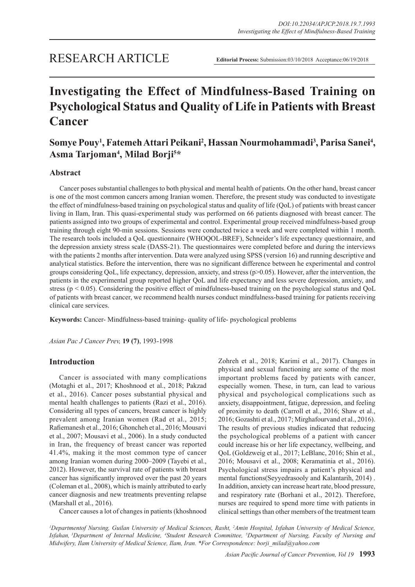# **Investigating the Effect of Mindfulness-Based Training on Psychological Status and Quality of Life in Patients with Breast Cancer**

# Somye Pouy<sup>1</sup>, Fatemeh Attari Peikani<sup>2</sup>, Hassan Nourmohammadi<sup>3</sup>, Parisa Sanei<sup>4</sup>, **Asma Tarjoman4 , Milad Borji5 \***

## **Abstract**

Cancer poses substantial challenges to both physical and mental health of patients. On the other hand, breast cancer is one of the most common cancers among Iranian women. Therefore, the present study was conducted to investigate the effect of mindfulness-based training on psychological status and quality of life (QoL) of patients with breast cancer living in Ilam, Iran. This quasi-experimental study was performed on 66 patients diagnosed with breast cancer. The patients assigned into two groups of experimental and control. Experimental group received mindfulness-based group training through eight 90-min sessions. Sessions were conducted twice a week and were completed within 1 month. The research tools included a QoL questionnaire (WHOQOL-BREF), Schneider's life expectancy questionnaire, and the depression anxiety stress scale (DASS-21). The questionnaires were completed before and during the interviews with the patients 2 months after intervention. Data were analyzed using SPSS (version 16) and running descriptive and analytical statistics. Before the intervention, there was no significant difference between he experimental and control groups considering QoL, life expectancy, depression, anxiety, and stress (p>0.05). However, after the intervention, the patients in the experimental group reported higher QoL and life expectancy and less severe depression, anxiety, and stress ( $p < 0.05$ ). Considering the positive effect of mindfulness-based training on the psychological status and QoL of patients with breast cancer, we recommend health nurses conduct mindfulness-based training for patients receiving clinical care services.

**Keywords:** Cancer- Mindfulness-based training- quality of life- psychological problems

*Asian Pac J Cancer Prev,* **19 (7)**, 1993-1998

### **Introduction**

Cancer is associated with many complications (Motaghi et al., 2017; Khoshnood et al., 2018; Pakzad et al., 2016). Cancer poses substantial physical and mental health challenges to patients (Razi et al., 2016). Considering all types of cancers, breast cancer is highly prevalent among Iranian women (Rad et al., 2015; Rafiemanesh et al., 2016; Ghoncheh et al., 2016; Mousavi et al., 2007; Mousavi et al., 2006). In a study conducted in Iran, the frequency of breast cancer was reported 41.4%, making it the most common type of cancer among Iranian women during 2000–2009 (Tayebi et al., 2012). However, the survival rate of patients with breast cancer has significantly improved over the past 20 years (Coleman et al., 2008), which is mainly attributed to early cancer diagnosis and new treatments preventing relapse (Marshall et al., 2016).

Cancer causes a lot of changes in patients (khoshnood

Zohreh et al., 2018; Karimi et al., 2017). Changes in physical and sexual functioning are some of the most important problems faced by patients with cancer, especially women. These, in turn, can lead to various physical and psychological complications such as anxiety, disappointment, fatigue, depression, and feeling of proximity to death (Carroll et al., 2016; Shaw et al., 2016; Gozashti et al., 2017; Mirghafourvand et al., 2016). The results of previous studies indicated that reducing the psychological problems of a patient with cancer could increase his or her life expectancy, wellbeing, and QoL (Goldzweig et al., 2017; LeBlanc, 2016; Shin et al., 2016; Mousavi et al., 2008; Keramatinia et al., 2016). Psychological stress impairs a patient's physical and mental functions(Seyyedrasooly and Kalantarih, 2014) . In addition, anxiety can increase heart rate, blood pressure, and respiratory rate (Borhani et al., 2012). Therefore, nurses are required to spend more time with patients in clinical settings than other members of the treatment team

<sup>1</sup>Departmentof Nursing, Guilan University of Medical Sciences, Rasht, <sup>2</sup>Amin Hospital, Isfahan University of Medical Science, Isfahan, <sup>3</sup>Department of Internal Medicine, <sup>4</sup>Student Research Committee, <sup>5</sup>Department of Nursing, Faculty of Nursing and *Midwifery, Ilam University of Medical Science, Ilam, Iran. \*For Correspondence: borji\_milad@yahoo.com*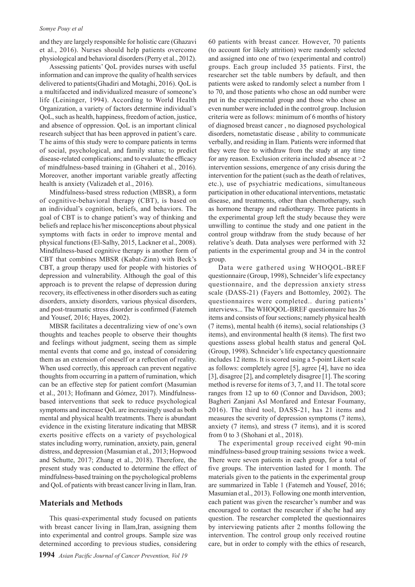#### *Somye Pouy et al*

and they are largely responsible for holistic care (Ghazavi et al., 2016). Nurses should help patients overcome physiological and behavioral disorders (Perry et al., 2012).

Assessing patients' QoL provides nurses with useful information and can improve the quality of health services delivered to patients(Ghadiri and Motaghi, 2016). QoL is a multifaceted and individualized measure of someone's life (Leininger, 1994). According to World Health Organization, a variety of factors determine individual's QoL, such as health, happiness, freedom of action, justice, and absence of oppression. QoL is an important clinical research subject that has been approved in patient's care. T he aims of this study were to compare patients in terms of social, psychological, and family status; to predict disease-related complications; and to evaluate the efficacy of mindfulness-based training in (Ghaheri et al., 2016). Moreover, another important variable greatly affecting health is anxiety (Valizadeh et al., 2016).

Mindfulness-based stress reduction (MBSR), a form of cognitive-behavioral therapy (CBT), is based on an individual's cognition, beliefs, and behaviors. The goal of CBT is to change patient's way of thinking and beliefs and replace his/her misconceptions about physical symptoms with facts in order to improve mental and physical functions (El-Salhy, 2015, Lackner et al., 2008). Mindfulness-based cognitive therapy is another form of CBT that combines MBSR (Kabat-Zinn) with Beck's CBT, a group therapy used for people with histories of depression and vulnerability. Although the goal of this approach is to prevent the relapse of depression during recovery, its effectiveness in other disorders such as eating disorders, anxiety disorders, various physical disorders, and post-traumatic stress disorder is confirmed (Fatemeh and Yousef, 2016; Hayes, 2002).

MBSR facilitates a decentralizing view of one's own thoughts and teaches people to observe their thoughts and feelings without judgment, seeing them as simple mental events that come and go, instead of considering them as an extension of oneself or a reflection of reality. When used correctly, this approach can prevent negative thoughts from occurring in a pattern of rumination, which can be an effective step for patient comfort (Masumian et al., 2013; Hofmann and Gómez, 2017). Mindfulnessbased interventions that seek to reduce psychological symptoms and increase QoL are increasingly used as both mental and physical health treatments. There is abundant evidence in the existing literature indicating that MBSR exerts positive effects on a variety of psychological states including worry, rumination, anxiety, pain, general distress, and depression (Masumian et al., 2013; Hopwood and Schutte, 2017; Zhang et al., 2018). Therefore, the present study was conducted to determine the effect of mindfulness-based training on the psychological problems and QoL of patients with breast cancer living in Ilam, Iran.

#### **Materials and Methods**

This quasi-experimental study focused on patients with breast cancer living in Ilam,Iran, assigning them into experimental and control groups. Sample size was determined according to previous studies, considering 60 patients with breast cancer. However, 70 patients (to account for likely attrition) were randomly selected and assigned into one of two (experimental and control) groups. Each group included 35 patients. First, the researcher set the table numbers by default, and then patients were asked to randomly select a number from 1 to 70, and those patients who chose an odd number were put in the experimental group and those who chose an even number were included in the control group. Inclusion criteria were as follows: minimum of 6 months of history of diagnosed breast cancer , no diagnosed psychological disorders, nometastatic disease , ability to communicate verbally, and residing in Ilam. Patients were informed that they were free to withdraw from the study at any time for any reason. Exclusion criteria included absence at >2 intervention sessions, emergence of any crisis during the intervention for the patient (such as the death of relatives, etc.), use of psychiatric medications, simultaneous participation in other educational interventions, metastatic disease, and treatments, other than chemotherapy, such as hormone therapy and radiotherapy. Three patients in the experimental group left the study because they were unwilling to continue the study and one patient in the control group withdraw from the study because of her relative's death. Data analyses were performed with 32 patients in the experimental group and 34 in the control group.

Data were gathered using WHOQOL-BREF questionnaire (Group, 1998), Schneider's life expectancy questionnaire, and the depression anxiety stress scale (DASS-21) (Fayers and Bottomley, 2002). The questionnaires were completed.. during patients' interviews... The WHOQOL-BREF questionnaire has 26 items and consists of four sections; namely physical health (7 items), mental health (6 items), social relationships (3 items), and environmental health (8 items). The first two questions assess global health status and general QoL (Group, 1998). Schneider's life expectancy questionnaire includes 12 items. It is scored using a 5-point Likert scale as follows: completely agree [5], agree [4], have no idea [3], disagree [2], and completely disagree [1]. The scoring method is reverse for items of 3, 7, and 11. The total score ranges from 12 up to 60 (Connor and Davidson, 2003; Bagheri Zanjani Asl Monfared and Entesar Foumany, 2016). The third tool, DASS-21, has 21 items and measures the severity of depression symptoms (7 items), anxiety (7 items), and stress (7 items), and it is scored from 0 to 3 (Shohani et al., 2018).

The experimental group received eight 90-min mindfulness-based group training sessions twice a week. There were seven patients in each group, for a total of five groups. The intervention lasted for 1 month. The materials given to the patients in the experimental group are summarized in Table 1 (Fatemeh and Yousef, 2016; Masumian et al., 2013). Following one month intervention, each patient was given the researcher's number and was encouraged to contact the researcher if she/he had any question. The researcher completed the questionnaires by interviewing patients after 2 months following the intervention. The control group only received routine care, but in order to comply with the ethics of research,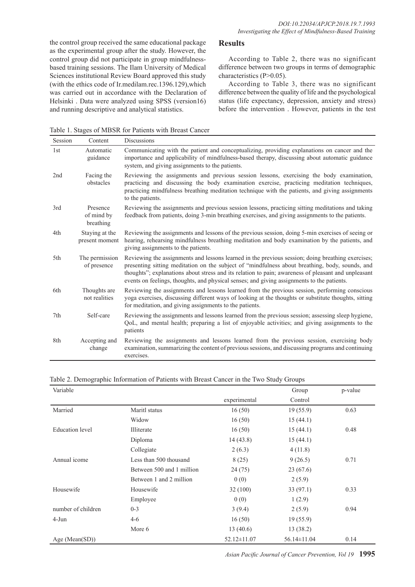the control group received the same educational package as the experimental group after the study. However, the control group did not participate in group mindfulnessbased training sessions. The Ilam University of Medical Sciences institutional Review Board approved this study (with the ethics code of Ir.medilam.rec.1396.129),which was carried out in accordance with the Declaration of Helsinki . Data were analyzed using SPSS (version16) and running descriptive and analytical statistics.

#### **Results**

According to Table 2, there was no significant difference between two groups in terms of demographic characteristics (P>0.05).

According to Table 3, there was no significant difference between the quality of life and the psychological status (life expectancy, depression, anxiety and stress) before the intervention . However, patients in the test

Table 1. Stages of MBSR for Patients with Breast Cancer

| Session | Content                             | <b>Discussions</b>                                                                                                                                                                                                                                                                                                                                                                                        |
|---------|-------------------------------------|-----------------------------------------------------------------------------------------------------------------------------------------------------------------------------------------------------------------------------------------------------------------------------------------------------------------------------------------------------------------------------------------------------------|
| 1st     | Automatic<br>guidance               | Communicating with the patient and conceptualizing, providing explanations on cancer and the<br>importance and applicability of mindfulness-based therapy, discussing about automatic guidance<br>system, and giving assignments to the patients.                                                                                                                                                         |
| 2nd     | Facing the<br>obstacles             | Reviewing the assignments and previous session lessons, exercising the body examination,<br>practicing and discussing the body examination exercise, practicing meditation techniques,<br>practicing mindfulness breathing meditation technique with the patients, and giving assignments<br>to the patients.                                                                                             |
| 3rd     | Presence<br>of mind by<br>breathing | Reviewing the assignments and previous session lessons, practicing sitting meditations and taking<br>feedback from patients, doing 3-min breathing exercises, and giving assignments to the patients.                                                                                                                                                                                                     |
| 4th     | Staying at the<br>present moment    | Reviewing the assignments and lessons of the previous session, doing 5-min exercises of seeing or<br>hearing, rehearsing mindfulness breathing meditation and body examination by the patients, and<br>giving assignments to the patients.                                                                                                                                                                |
| 5th     | The permission<br>of presence       | Reviewing the assignments and lessons learned in the previous session; doing breathing exercises;<br>presenting sitting meditation on the subject of "mindfulness about breathing, body, sounds, and<br>thoughts"; explanations about stress and its relation to pain; awareness of pleasant and unpleasant<br>events on feelings, thoughts, and physical senses; and giving assignments to the patients. |
| 6th     | Thoughts are<br>not realities       | Reviewing the assignments and lessons learned from the previous session, performing conscious<br>yoga exercises, discussing different ways of looking at the thoughts or substitute thoughts, sitting<br>for meditation, and giving assignments to the patients.                                                                                                                                          |
| 7th     | Self-care                           | Reviewing the assignments and lessons learned from the previous session; assessing sleep hygiene,<br>QoL, and mental health; preparing a list of enjoyable activities; and giving assignments to the<br>patients                                                                                                                                                                                          |
| 8th     | Accepting and<br>change             | Reviewing the assignments and lessons learned from the previous session, exercising body<br>examination, summarizing the content of previous sessions, and discussing programs and continuing<br>exercises.                                                                                                                                                                                               |

Table 2. Demographic Information of Patients with Breast Cancer in the Two Study Groups

| Variable               |                           |                   | Group             | p-value |
|------------------------|---------------------------|-------------------|-------------------|---------|
|                        |                           | experimental      | Control           |         |
| Married                | Maritl status             | 16(50)            | 19(55.9)          | 0.63    |
|                        | Widow                     | 16(50)            | 15(44.1)          |         |
| <b>Education</b> level | Illiterate                | 16(50)            | 15(44.1)          | 0.48    |
|                        | Diploma                   | 14(43.8)          | 15(44.1)          |         |
|                        | Collegiate                | 2(6.3)            | 4(11.8)           |         |
| Annual icome           | Less than 500 thousand    | 8(25)             | 9(26.5)           | 0.71    |
|                        | Between 500 and 1 million | 24(75)            | 23(67.6)          |         |
|                        | Between 1 and 2 million   | 0(0)              | 2(5.9)            |         |
| Housewife              | Housewife                 | 32(100)           | 33(97.1)          | 0.33    |
|                        | Employee                  | 0(0)              | 1(2.9)            |         |
| number of children     | $0 - 3$                   | 3(9.4)            | 2(5.9)            | 0.94    |
| $4-J$ un               | $4 - 6$                   | 16(50)            | 19(55.9)          |         |
|                        | More 6                    | 13(40.6)          | 13(38.2)          |         |
| Age (Mean $(SD)$ )     |                           | $52.12 \pm 11.07$ | $56.14 \pm 11.04$ | 0.14    |

*Asian Pacific Journal of Cancer Prevention, Vol 19* **1995**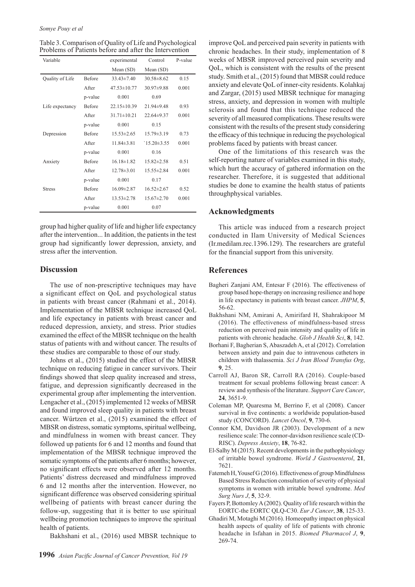Table 3. Comparison of Quality of Life and Psychological Problems of Patients before and after the Intervention

| Variable        |               | experimental      | Control          | P-value |
|-----------------|---------------|-------------------|------------------|---------|
|                 |               | Mean (SD)         | Mean (SD)        |         |
| Quality of Life | <b>Before</b> | $33.43 \pm 7.40$  | $30.58 \pm 8.62$ | 0.15    |
|                 | After         | $47.53 \pm 10.77$ | $30.97 \pm 9.88$ | 0.001   |
|                 | p-value       | 0.001             | 0.69             |         |
| Life expectancy | Before        | $22.15 \pm 10.39$ | $21.94\pm9.48$   | 0.93    |
|                 | After         | $31.71 \pm 10.21$ | $22.64\pm9.37$   | 0.001   |
|                 | p-value       | 0.001             | 0.15             |         |
| Depression      | Before        | $15.53 \pm 2.65$  | $15.79 \pm 3.19$ | 0.73    |
|                 | After         | $11.84 \pm 3.81$  | $15.20 \pm 3.55$ | 0.001   |
|                 | p-value       | 0.001             | 0.16             |         |
| Anxiety         | <b>Before</b> | $16.18 \pm 1.82$  | $15.82 \pm 2.58$ | 0.51    |
|                 | After         | $12.78 \pm 3.01$  | $15.55 \pm 2.84$ | 0.001   |
|                 | p-value       | 0.001             | 0.17             |         |
| <b>Stress</b>   | Before        | $16.09 \pm 2.87$  | $16.52 \pm 2.67$ | 0.52    |
|                 | After         | $13.53 \pm 2.78$  | $15.67 \pm 2.70$ | 0.001   |
|                 | p-value       | 0.001             | 0.07             |         |
|                 |               |                   |                  |         |

group had higher quality of life and higher life expectancy after the intervention... In addition, the patients in the test group had significantly lower depression, anxiety, and stress after the intervention.

#### **Discussion**

The use of non-prescriptive techniques may have a significant effect on QoL and psychological status in patients with breast cancer (Rahmani et al., 2014). Implementation of the MBSR technique increased QoL and life expectancy in patients with breast cancer and reduced depression, anxiety, and stress. Prior studies examined the effect of the MBSR technique on the health status of patients with and without cancer. The results of these studies are comparable to those of our study.

Johns et al., (2015) studied the effect of the MBSR technique on reducing fatigue in cancer survivors. Their findings showed that sleep quality increased and stress, fatigue, and depression significantly decreased in the experimental group after implementing the intervention. Lengacher et al., (2015) implemented 12 weeks of MBSR and found improved sleep quality in patients with breast cancer. Würtzen et al., (2015) examined the effect of MBSR on distress, somatic symptoms, spiritual wellbeing, and mindfulness in women with breast cancer. They followed up patients for 6 and 12 months and found that implementation of the MBSR technique improved the somatic symptoms of the patients after 6 months; however, no significant effects were observed after 12 months. Patients' distress decreased and mindfulness improved 6 and 12 months after the intervention. However, no significant difference was observed considering spiritual wellbeing of patients with breast cancer during the follow-up, suggesting that it is better to use spiritual wellbeing promotion techniques to improve the spiritual health of patients.

Bakhshani et al., (2016) used MBSR technique to

improve QoL and perceived pain severity in patients with chronic headaches. In their study, implementation of 8 weeks of MBSR improved perceived pain severity and QoL, which is consistent with the results of the present study. Smith et al., (2015) found that MBSR could reduce anxiety and elevate QoL of inner-city residents. Kolahkaj and Zargar, (2015) used MBSR technique for managing stress, anxiety, and depression in women with multiple sclerosis and found that this technique reduced the severity of all measured complications. These results were consistent with the results of the present study considering the efficacy of this technique in reducing the psychological problems faced by patients with breast cancer.

One of the limitations of this research was the self-reporting nature of variables examined in this study, which hurt the accuracy of gathered information on the researcher. Therefore, it is suggested that additional studies be done to examine the health status of patients throughphysical variables.

#### **Acknowledgments**

This article was induced from a research project conducted in Ilam University of Medical Sciences (Ir.medilam.rec.1396.129). The researchers are grateful for the financial support from this university.

#### **References**

- Bagheri Zanjani AM, Entesar F (2016). The effectiveness of group based hope-therapy on increasing resilience and hope in life expectancy in patients with breast cancer. *JHPM*, **5**, 56-62.
- Bakhshani NM, Amirani A, Amirifard H, Shahrakipoor M (2016). The effectiveness of mindfulness-based stress reduction on perceived pain intensity and quality of life in patients with chronic headache. *Glob J Health Sci*, **8**, 142.
- Borhani F, Bagherian S, Abaszadeh A, et al (2012). Correlation between anxiety and pain due to intravenous catheters in children with thalassemia. *Sci J Iran Blood Transfus Org*, **9**, 25.
- Carroll AJ, Baron SR, Carroll RA (2016). Couple-based treatment for sexual problems following breast cancer: A review and synthesis of the literature. *Support Care Cancer*, **24**, 3651-9.
- Coleman MP, Quaresma M, Berrino F, et al (2008). Cancer survival in five continents: a worldwide population-based study (CONCORD). *Lancet Oncol*, **9**, 730-6.
- Connor KM, Davidson JR (2003). Development of a new resilience scale: The connor-davidson resilience scale (CD-RISC). *Depress Anxiety*, **18**, 76-82.
- El-Salhy M (2015). Recent developments in the pathophysiology of irritable bowel syndrome. *World J Gastroenterol*, **21**, 7621.
- Fatemeh H, Yousef G (2016). Effectiveness of group Mindfulness Based Stress Reduction consultation of severity of physical symptoms in women with irritable bowel syndrome. *Med Surg Nurs J*, **5**, 32-9.
- Fayers P, Bottomley A (2002). Quality of life research within the EORTC-the EORTC QLQ-C30. *Eur J Cancer*, **38**, 125-33.
- Ghadiri M, Motaghi M (2016). Homeopathy impact on physical health aspects of quality of life of patients with chronic headache in Isfahan in 2015. *Biomed Pharmacol J*, **9**, 269-74.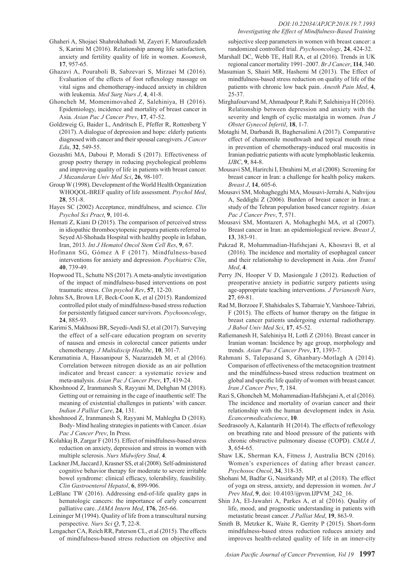#### *DOI:10.22034/APJCP.2018.19.7.1993 Investigating the Effect of Mindfulness-Based Training*

- Ghaheri A, Shojaei Shahrokhabadi M, Zayeri F, Maroufizadeh S, Karimi M (2016). Relationship among life satisfaction, anxiety and fertility quality of life in women. *Koomesh*, **17**, 957-65.
- Ghazavi A, Pouraboli B, Sabzevari S, Mirzaei M (2016). Evaluation of the effects of foot reflexology massage on vital signs and chemotherapy-induced anxiety in children with leukemia. *Med Surg Nurs J*, **4**, 41-8.
- Ghoncheh M, Momenimovahed Z, Salehiniya, H (2016). Epidemiology, incidence and mortality of breast cancer in Asia. *Asian Pac J Cancer Prev*, **17**, 47-52.
- Goldzweig G, Baider L, Andritsch E, Pfeffer R, Rottenberg Y (2017). A dialogue of depression and hope: elderly patients diagnosed with cancer and their spousal caregivers. *J Cancer Edu*, **32**, 549-55.
- Gozashti MA, Daboui P, Moradi S (2017). Effectiveness of group poetry therapy in reducing psychological problems and improving quality of life in patients with breast cancer. *J Mazandaran Univ Med Sci*, **26**, 98-107.
- Group W (1998). Development of the World Health Organization WHOQOL-BREF quality of life assessment. *Psychol Med*, **28**, 551-8.
- Hayes SC (2002) Acceptance, mindfulness, and science. *Clin Psychol Sci Pract*, **9**, 101-6.
- Hemati Z, Kiani D (2015). The comparison of perceived stress in idiopathic thrombocytopenic purpura patients referred to Seyed Al-Shohada Hospital with healthy people in Isfahan, Iran, 2013. *Int J Hematol Oncol Stem Cell Res*, **9**, 67.
- Hofmann SG, Gómez A F (2017). Mindfulness-based interventions for anxiety and depression. *Psychiatric Clin*, **40**, 739-49.
- Hopwood TL, Schutte NS (2017). A meta-analytic investigation of the impact of mindfulness-based interventions on post traumatic stress. *Clin psychol Rev*, **57**, 12-20.
- Johns SA, Brown LF, Beck-Coon K, et al (2015). Randomized controlled pilot study of mindfulness-based stress reduction for persistently fatigued cancer survivors. *Psychooncology*, **24**, 885-93.
- Karimi S, Makhsosi BR, Seyedi-Andi SJ, et al (2017). Surveying the effect of a self-care education program on severity of nausea and emesis in colorectal cancer patients under chemotherapy. *J Multidiscip Healthc*, **10**, 301-7.
- Keramatinia A, Hassanipour S, Nazarzadeh M, et al (2016). Correlation between nitrogen dioxide as an air pollution indicator and breast cancer: a systematic review and meta-analysis. *Asian Pac J Cancer Prev*, **17**, 419-24.
- Khoshnood Z, Iranmanesh S, Rayyani M, Dehghan M (2018). Getting out or remaining in the cage of inauthentic self: The meaning of existential challenges in patients' with cancer. *Indian J Palliat Care*, **24**, 131.
- khoshnood Z, Iranmanesh S, Rayyani M, Mahlegha D (2018). Body- Mind healing strategies in patients with Cancer. *Asian Pac J Cancer Prev*, In Press.
- Kolahkaj B, Zargar F (2015). Effect of mindfulness-based stress reduction on anxiety, depression and stress in women with multiple sclerosis. *Nurs Midwifery Stud*, **4**.
- Lackner JM, Jaccard J, Krasner SS, et al (2008). Self-administered cognitive behavior therapy for moderate to severe irritable bowel syndrome: clinical efficacy, tolerability, feasibility. *Clin Gastroenterol Hepatol*, **6**, 899-906.
- LeBlanc TW (2016). Addressing end-of-life quality gaps in hematologic cancers: the importance of early concurrent palliative care. *JAMA Intern Med*, **176**, 265-66.
- Leininger M (1994). Quality of life from a transcultural nursing perspective. *Nurs Sci Q*, **7**, 22-8.
- Lengacher CA, Reich RR, Paterson CL, et al (2015). The effects of mindfulness-based stress reduction on objective and

subjective sleep parameters in women with breast cancer: a randomized controlled trial. *Psychooncology*, **24**, 424-32.

- Marshall DC, Webb TE, Hall RA, et al (2016). Trends in UK regional cancer mortality 1991–2007. *Br J Cancer*, **114**, 340.
- Masumian S, Shairi MR, Hashemi M (2013). The Effect of mindfulness-based stress reduction on quality of life of the patients with chronic low back pain. *Anesth Pain Med*, **4**, 25-37.
- Mirghafourvand M, Ahmadpour P, Rahi P, Salehiniya H (2016). Relationship between depression and anxiety with the severity and length of cyclic mastalgia in women. *Iran J Obstet Gynecol Infertil*, **18**, 1-7.
- Motaghi M, Darbandi B, Baghersalimi A (2017). Comparative effect of chamomile mouthwash and topical mouth rinse in prevention of chemotherapy-induced oral mucositis in Iranian pediatric patients with acute lymphoblastic leukemia. *IJBC*, **9**, 84-8.
- Mousavi SM, Harirchi I, Ebrahimi M, et al (2008). Screening for breast cancer in Iran: a challenge for health policy makers. *Breast J*, **14**, 605-6.
- Mousavi SM, Mohaghegghi MA, Mousavi-Jerrahi A, Nahvijou A, Seddighi Z (2006). Burden of breast cancer in Iran: a study of the Tehran population based cancer registry. *Asian Pac J Cancer Prev*, **7**, 571.
- Mousavi SM, Montazeri A, Mohagheghi MA, et al (2007). Breast cancer in Iran: an epidemiological review. *Breast J*, **13**, 383-91.
- Pakzad R, Mohammadian-Hafshejani A, Khosravi B, et al (2016). The incidence and mortality of esophageal cancer and their relationship to development in Asia. *Ann Transl Med*, **4**.
- Perry JN, Hooper V D, Masiongale J (2012). Reduction of preoperative anxiety in pediatric surgery patients using age-appropriate teaching interventions. *J Perianesth Nurs*, **27**, 69-81.
- Rad M, Borzoee F, Shahidsales S, Tabarraie Y, Varshoee-Tabrizi, F (2015). The effects of humor therapy on the fatigue in breast cancer patients undergoing external radiotherapy. *J Babol Univ Med Sci*, **17**, 45-52.
- Rafiemanesh H, Salehiniya H, Lotfi Z (2016). Breast cancer in Iranian woman: Incidence by age group, morphology and trends. *Asian Pac J Cancer Prev*, **17**, 1393-7.
- Rahmani S, Talepasand S, Ghanbary-Motlagh A (2014). Comparison of effectiveness of the metacognition treatment and the mindfulness-based stress reduction treatment on global and specific life quality of women with breast cancer. *Iran J Cancer Prev*, **7**, 184.
- Razi S, Ghoncheh M, Mohammadian-Hafshejani A, et al (2016). The incidence and mortality of ovarian cancer and their relationship with the human development index in Asia. *Ecancermedicalscience*, **10**.
- Seedrasooly A, Kalantarih H (2014). The effects of reflexology on breathing rate and blood pressure of the patients with chronic obstructive pulmonary disease (COPD). *CMJA J*, **3**, 654-65.
- Shaw LK, Sherman KA, Fitness J, Australia BCN (2016). Women's experiences of dating after breast cancer. *Psychosoc Oncol*, **34**, 318-35.
- Shohani M, Badfar G, Nasirkandy MP, et al (2018). The effect of yoga on stress, anxiety, and depression in women. *Int J Prev Med*, **9**, doi: 10.4103/ijpvm.IJPVM\_242\_16.
- Shin JA, El-Jawahri A, Parkes A, et al (2016). Quality of life, mood, and prognostic understanding in patients with metastatic breast cancer. *J Palliat Med*, **19**, 863-9.
- Smith B, Metzker K, Waite R, Gerrity P (2015). Short-form mindfulness-based stress reduction reduces anxiety and improves health-related quality of life in an inner-city